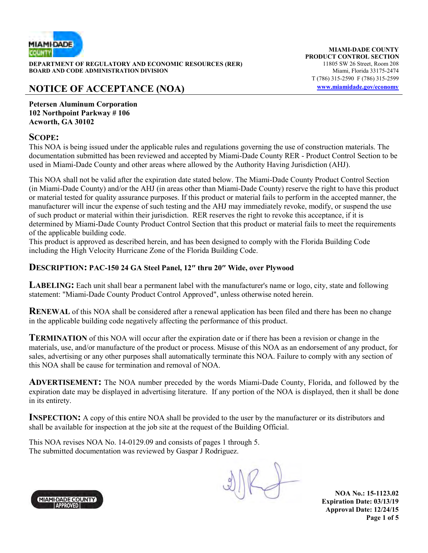

**DEPARTMENT OF REGULATORY AND ECONOMIC RESOURCES (RER)** 11805 SW 26 Street, Room 208<br>**BOARD AND CODE ADMINISTRATION DIVISION** 11807 11805 SW 26 Street, Room 208 **BOARD AND CODE ADMINISTRATION DIVISION** 

# **NOTICE OF ACCEPTANCE (NOA) www.miamidade.gov/economy**

**MIAMI-DADE COUNTY PRODUCT CONTROL SECTION** T (786) 315-2590 F (786) 315-2599

**Petersen Aluminum Corporation 102 Northpoint Parkway # 106 Acworth, GA 30102** 

#### **SCOPE:**

This NOA is being issued under the applicable rules and regulations governing the use of construction materials. The documentation submitted has been reviewed and accepted by Miami-Dade County RER - Product Control Section to be used in Miami-Dade County and other areas where allowed by the Authority Having Jurisdiction (AHJ).

This NOA shall not be valid after the expiration date stated below. The Miami-Dade County Product Control Section (in Miami-Dade County) and/or the AHJ (in areas other than Miami-Dade County) reserve the right to have this product or material tested for quality assurance purposes. If this product or material fails to perform in the accepted manner, the manufacturer will incur the expense of such testing and the AHJ may immediately revoke, modify, or suspend the use of such product or material within their jurisdiction. RER reserves the right to revoke this acceptance, if it is determined by Miami-Dade County Product Control Section that this product or material fails to meet the requirements of the applicable building code.

This product is approved as described herein, and has been designed to comply with the Florida Building Code including the High Velocity Hurricane Zone of the Florida Building Code.

#### **DESCRIPTION: PAC-150 24 GA Steel Panel, 12″ thru 20″ Wide, over Plywood**

**LABELING:** Each unit shall bear a permanent label with the manufacturer's name or logo, city, state and following statement: "Miami-Dade County Product Control Approved", unless otherwise noted herein.

**RENEWAL** of this NOA shall be considered after a renewal application has been filed and there has been no change in the applicable building code negatively affecting the performance of this product.

**TERMINATION** of this NOA will occur after the expiration date or if there has been a revision or change in the materials, use, and/or manufacture of the product or process. Misuse of this NOA as an endorsement of any product, for sales, advertising or any other purposes shall automatically terminate this NOA. Failure to comply with any section of this NOA shall be cause for termination and removal of NOA.

**ADVERTISEMENT:** The NOA number preceded by the words Miami-Dade County, Florida, and followed by the expiration date may be displayed in advertising literature. If any portion of the NOA is displayed, then it shall be done in its entirety.

**INSPECTION:** A copy of this entire NOA shall be provided to the user by the manufacturer or its distributors and shall be available for inspection at the job site at the request of the Building Official.

This NOA revises NOA No. 14-0129.09 and consists of pages 1 through 5. The submitted documentation was reviewed by Gaspar J Rodriguez.



**NOA No.: 15-1123.02 Expiration Date: 03/13/19 Approval Date: 12/24/15 Page 1 of 5**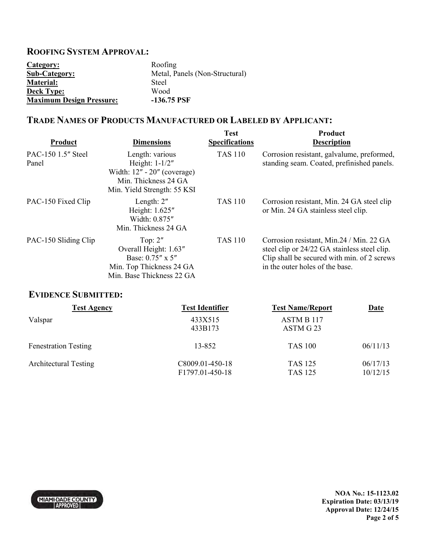## **ROOFING SYSTEM APPROVAL:**

| Category:                       | Roofing                        |
|---------------------------------|--------------------------------|
| <b>Sub-Category:</b>            | Metal, Panels (Non-Structural) |
| <b>Material:</b>                | Steel                          |
| <b>Deck Type:</b>               | Wood                           |
| <b>Maximum Design Pressure:</b> | $-136.75$ PSF                  |

## **TRADE NAMES OF PRODUCTS MANUFACTURED OR LABELED BY APPLICANT:**

| Product                     | <b>Dimensions</b>                                                                                                           | <b>Test</b><br><b>Specifications</b> | <b>Product</b><br><b>Description</b>                                                                                                                                       |
|-----------------------------|-----------------------------------------------------------------------------------------------------------------------------|--------------------------------------|----------------------------------------------------------------------------------------------------------------------------------------------------------------------------|
| PAC-150 1.5" Steel<br>Panel | Length: various<br>Height: $1-1/2"$<br>Width: $12" - 20"$ (coverage)<br>Min. Thickness 24 GA<br>Min. Yield Strength: 55 KSI | <b>TAS 110</b>                       | Corrosion resistant, galvalume, preformed,<br>standing seam. Coated, prefinished panels.                                                                                   |
| PAC-150 Fixed Clip          | Length: $2"$<br>Height: 1.625"<br>Width: 0.875"<br>Min. Thickness 24 GA                                                     | <b>TAS 110</b>                       | Corrosion resistant, Min. 24 GA steel clip<br>or Min. 24 GA stainless steel clip.                                                                                          |
| PAC-150 Sliding Clip        | Top: $2"$<br>Overall Height: 1.63"<br>Base: 0.75" x 5"<br>Min. Top Thickness 24 GA<br>Min. Base Thickness 22 GA             | <b>TAS 110</b>                       | Corrosion resistant, Min.24 / Min. 22 GA<br>steel clip or 24/22 GA stainless steel clip.<br>Clip shall be secured with min. of 2 screws<br>in the outer holes of the base. |

## **EVIDENCE SUBMITTED:**

| <b>Test Agency</b>           | <b>Test Identifier</b>             | <b>Test Name/Report</b>          | <b>Date</b>          |
|------------------------------|------------------------------------|----------------------------------|----------------------|
| Valspar                      | 433X515<br>433B173                 | ASTM B 117<br>ASTM G 23          |                      |
| <b>Fenestration Testing</b>  | 13-852                             | <b>TAS 100</b>                   | 06/11/13             |
| <b>Architectural Testing</b> | C8009.01-450-18<br>F1797.01-450-18 | <b>TAS 125</b><br><b>TAS 125</b> | 06/17/13<br>10/12/15 |



**NOA No.: 15-1123.02 Expiration Date: 03/13/19 Approval Date: 12/24/15 Page 2 of 5**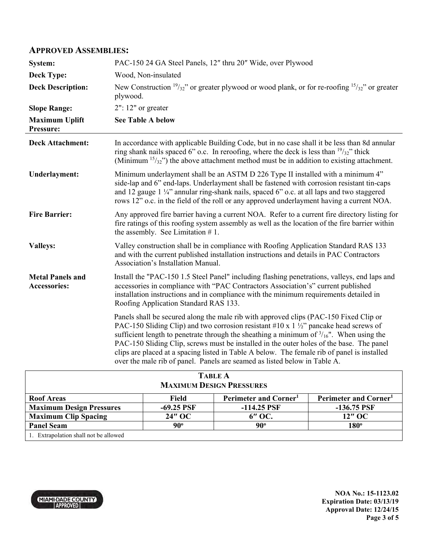#### **APPROVED ASSEMBLIES:**

| System:                                        | PAC-150 24 GA Steel Panels, 12" thru 20" Wide, over Plywood                                                                                                                                                                                                                                                                                                                                                                                                                                                                                                             |  |  |
|------------------------------------------------|-------------------------------------------------------------------------------------------------------------------------------------------------------------------------------------------------------------------------------------------------------------------------------------------------------------------------------------------------------------------------------------------------------------------------------------------------------------------------------------------------------------------------------------------------------------------------|--|--|
| <b>Deck Type:</b>                              | Wood, Non-insulated                                                                                                                                                                                                                                                                                                                                                                                                                                                                                                                                                     |  |  |
| <b>Deck Description:</b>                       | New Construction $\frac{19}{32}$ " or greater plywood or wood plank, or for re-roofing $\frac{15}{32}$ " or greater<br>plywood.                                                                                                                                                                                                                                                                                                                                                                                                                                         |  |  |
| <b>Slope Range:</b>                            | $2"$ : 12" or greater                                                                                                                                                                                                                                                                                                                                                                                                                                                                                                                                                   |  |  |
| <b>Maximum Uplift</b><br>Pressure:             | <b>See Table A below</b>                                                                                                                                                                                                                                                                                                                                                                                                                                                                                                                                                |  |  |
| <b>Deck Attachment:</b>                        | In accordance with applicable Building Code, but in no case shall it be less than 8d annular<br>ring shank nails spaced 6" o.c. In reroofing, where the deck is less than $\frac{19}{32}$ " thick<br>(Minimum $15/32$ ) the above attachment method must be in addition to existing attachment.                                                                                                                                                                                                                                                                         |  |  |
| <b>Underlayment:</b>                           | Minimum underlayment shall be an ASTM D 226 Type II installed with a minimum 4"<br>side-lap and 6" end-laps. Underlayment shall be fastened with corrosion resistant tin-caps<br>and 12 gauge 1 1/4" annular ring-shank nails, spaced 6" o.c. at all laps and two staggered<br>rows 12" o.c. in the field of the roll or any approved underlayment having a current NOA.                                                                                                                                                                                                |  |  |
| <b>Fire Barrier:</b>                           | Any approved fire barrier having a current NOA. Refer to a current fire directory listing for<br>fire ratings of this roofing system assembly as well as the location of the fire barrier within<br>the assembly. See Limitation $# 1$ .                                                                                                                                                                                                                                                                                                                                |  |  |
| <b>Valleys:</b>                                | Valley construction shall be in compliance with Roofing Application Standard RAS 133<br>and with the current published installation instructions and details in PAC Contractors<br>Association's Installation Manual.                                                                                                                                                                                                                                                                                                                                                   |  |  |
| <b>Metal Panels and</b><br><b>Accessories:</b> | Install the "PAC-150 1.5 Steel Panel" including flashing penetrations, valleys, end laps and<br>accessories in compliance with "PAC Contractors Association's" current published<br>installation instructions and in compliance with the minimum requirements detailed in<br>Roofing Application Standard RAS 133.                                                                                                                                                                                                                                                      |  |  |
|                                                | Panels shall be secured along the male rib with approved clips (PAC-150 Fixed Clip or<br>PAC-150 Sliding Clip) and two corrosion resistant #10 x 1 $\frac{1}{2}$ " pancake head screws of<br>sufficient length to penetrate through the sheathing a minimum of $\frac{3}{16}$ ". When using the<br>PAC-150 Sliding Clip, screws must be installed in the outer holes of the base. The panel<br>clips are placed at a spacing listed in Table A below. The female rib of panel is installed<br>over the male rib of panel. Panels are seamed as listed below in Table A. |  |  |
| TADI E A                                       |                                                                                                                                                                                                                                                                                                                                                                                                                                                                                                                                                                         |  |  |

| <b>TABLE A</b>                        |              |                      |                                   |  |  |  |
|---------------------------------------|--------------|----------------------|-----------------------------------|--|--|--|
| <b>MAXIMUM DESIGN PRESSURES</b>       |              |                      |                                   |  |  |  |
| <b>Roof Areas</b>                     | Field        | Perimeter and Corner | Perimeter and Corner <sup>1</sup> |  |  |  |
| <b>Maximum Design Pressures</b>       | $-69.25$ PSF | $-114.25$ PSF        | $-136.75$ PSF                     |  |  |  |
| <b>Maximum Clip Spacing</b>           | 24" OC       | 6" OC.               | 12" OC                            |  |  |  |
| <b>Panel Seam</b>                     | $90^\circ$   | $90^\circ$           | $180^\circ$                       |  |  |  |
| 1. Extrapolation shall not be allowed |              |                      |                                   |  |  |  |



**NOA No.: 15-1123.02 Expiration Date: 03/13/19 Approval Date: 12/24/15 Page 3 of 5**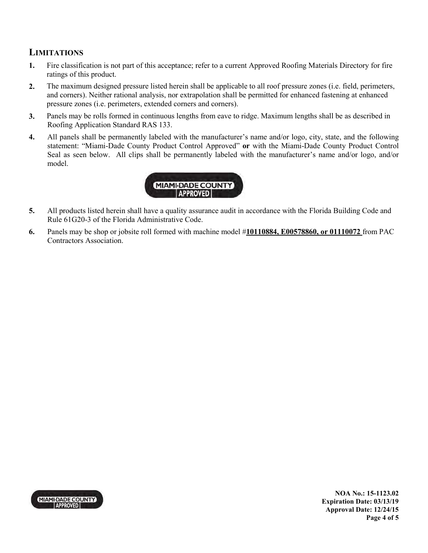## **LIMITATIONS**

- **1.** Fire classification is not part of this acceptance; refer to a current Approved Roofing Materials Directory for fire ratings of this product.
- **2.** The maximum designed pressure listed herein shall be applicable to all roof pressure zones (i.e. field, perimeters, and corners). Neither rational analysis, nor extrapolation shall be permitted for enhanced fastening at enhanced pressure zones (i.e. perimeters, extended corners and corners).
- **3.** Panels may be rolls formed in continuous lengths from eave to ridge. Maximum lengths shall be as described in Roofing Application Standard RAS 133.
- **4.** All panels shall be permanently labeled with the manufacturer's name and/or logo, city, state, and the following statement: "Miami-Dade County Product Control Approved" **or** with the Miami-Dade County Product Control Seal as seen below. All clips shall be permanently labeled with the manufacturer's name and/or logo, and/or model.



- **5.** All products listed herein shall have a quality assurance audit in accordance with the Florida Building Code and Rule 61G20-3 of the Florida Administrative Code.
- **6.** Panels may be shop or jobsite roll formed with machine model #**10110884, E00578860, or 01110072** from PAC Contractors Association.



**NOA No.: 15-1123.02 Expiration Date: 03/13/19 Approval Date: 12/24/15 Page 4 of 5**